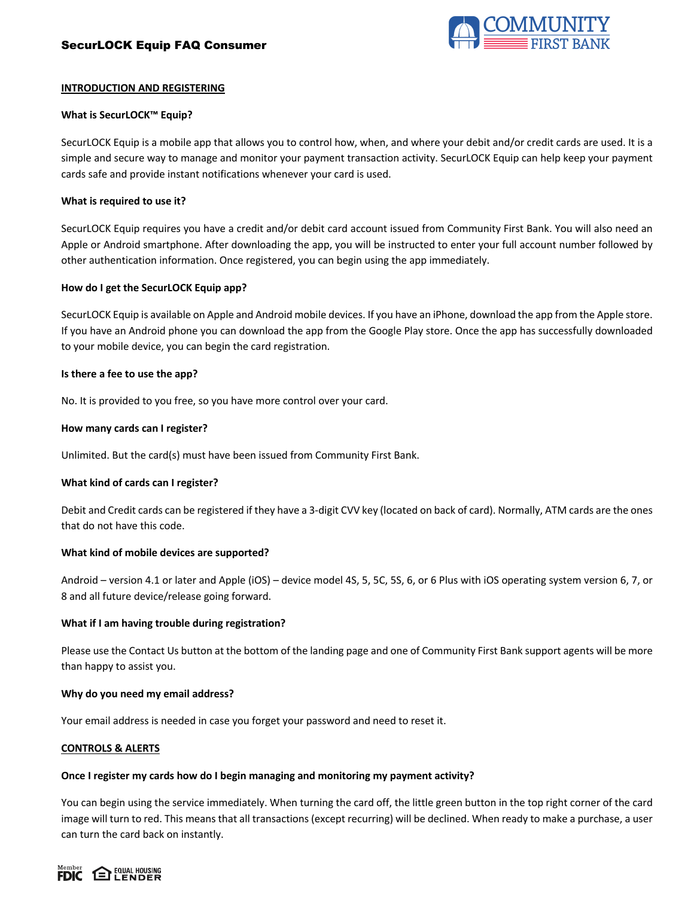

# **INTRODUCTION AND REGISTERING**

# **What is SecurLOCK™ Equip?**

SecurLOCK Equip is a mobile app that allows you to control how, when, and where your debit and/or credit cards are used. It is a simple and secure way to manage and monitor your payment transaction activity. SecurLOCK Equip can help keep your payment cards safe and provide instant notifications whenever your card is used.

### **What is required to use it?**

SecurLOCK Equip requires you have a credit and/or debit card account issued from Community First Bank. You will also need an Apple or Android smartphone. After downloading the app, you will be instructed to enter your full account number followed by other authentication information. Once registered, you can begin using the app immediately.

# **How do I get the SecurLOCK Equip app?**

SecurLOCK Equip is available on Apple and Android mobile devices. If you have an iPhone, download the app from the Apple store. If you have an Android phone you can download the app from the Google Play store. Once the app has successfully downloaded to your mobile device, you can begin the card registration.

# **Is there a fee to use the app?**

No. It is provided to you free, so you have more control over your card.

# **How many cards can I register?**

Unlimited. But the card(s) must have been issued from Community First Bank.

#### **What kind of cards can I register?**

Debit and Credit cards can be registered if they have a 3-digit CVV key (located on back of card). Normally, ATM cards are the ones that do not have this code.

#### **What kind of mobile devices are supported?**

Android – version 4.1 or later and Apple (iOS) – device model 4S, 5, 5C, 5S, 6, or 6 Plus with iOS operating system version 6, 7, or 8 and all future device/release going forward.

# **What if I am having trouble during registration?**

Please use the Contact Us button at the bottom of the landing page and one of Community First Bank support agents will be more than happy to assist you.

#### **Why do you need my email address?**

Your email address is needed in case you forget your password and need to reset it.

#### **CONTROLS & ALERTS**

#### **Once I register my cards how do I begin managing and monitoring my payment activity?**

You can begin using the service immediately. When turning the card off, the little green button in the top right corner of the card image will turn to red. This means that all transactions (except recurring) will be declined. When ready to make a purchase, a user can turn the card back on instantly.

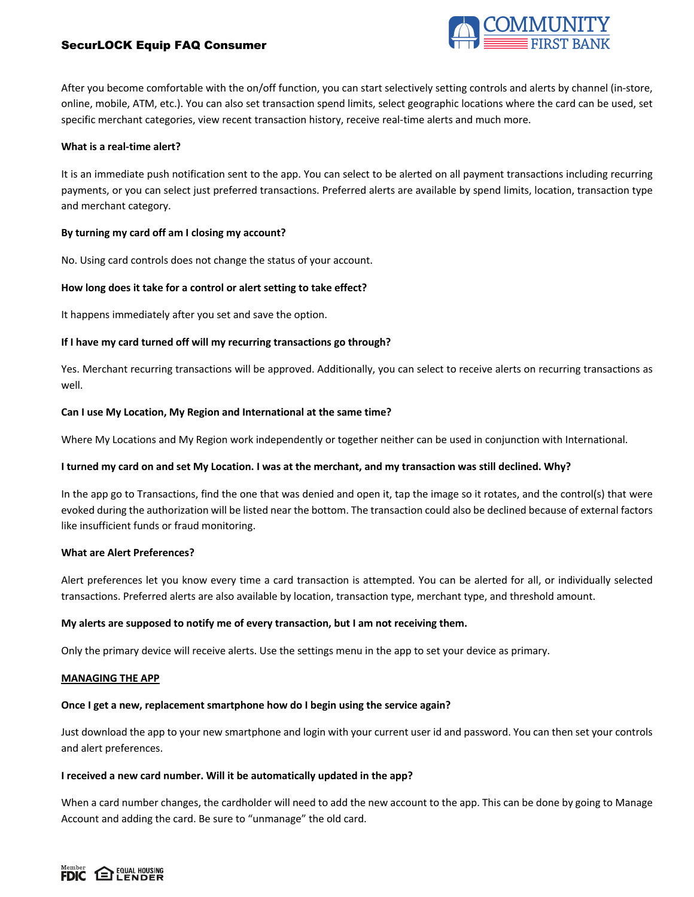# SecurLOCK Equip FAQ Consumer



After you become comfortable with the on/off function, you can start selectively setting controls and alerts by channel (in-store, online, mobile, ATM, etc.). You can also set transaction spend limits, select geographic locations where the card can be used, set specific merchant categories, view recent transaction history, receive real-time alerts and much more.

### **What is a real-time alert?**

It is an immediate push notification sent to the app. You can select to be alerted on all payment transactions including recurring payments, or you can select just preferred transactions. Preferred alerts are available by spend limits, location, transaction type and merchant category.

#### **By turning my card off am I closing my account?**

No. Using card controls does not change the status of your account.

# **How long does it take for a control or alert setting to take effect?**

It happens immediately after you set and save the option.

# **If I have my card turned off will my recurring transactions go through?**

Yes. Merchant recurring transactions will be approved. Additionally, you can select to receive alerts on recurring transactions as well.

#### **Can I use My Location, My Region and International at the same time?**

Where My Locations and My Region work independently or together neither can be used in conjunction with International.

#### **I turned my card on and set My Location. I was at the merchant, and my transaction was still declined. Why?**

In the app go to Transactions, find the one that was denied and open it, tap the image so it rotates, and the control(s) that were evoked during the authorization will be listed near the bottom. The transaction could also be declined because of external factors like insufficient funds or fraud monitoring.

#### **What are Alert Preferences?**

Alert preferences let you know every time a card transaction is attempted. You can be alerted for all, or individually selected transactions. Preferred alerts are also available by location, transaction type, merchant type, and threshold amount.

#### **My alerts are supposed to notify me of every transaction, but I am not receiving them.**

Only the primary device will receive alerts. Use the settings menu in the app to set your device as primary.

#### **MANAGING THE APP**

#### **Once I get a new, replacement smartphone how do I begin using the service again?**

Just download the app to your new smartphone and login with your current user id and password. You can then set your controls and alert preferences.

#### **I received a new card number. Will it be automatically updated in the app?**

When a card number changes, the cardholder will need to add the new account to the app. This can be done by going to Manage Account and adding the card. Be sure to "unmanage" the old card.